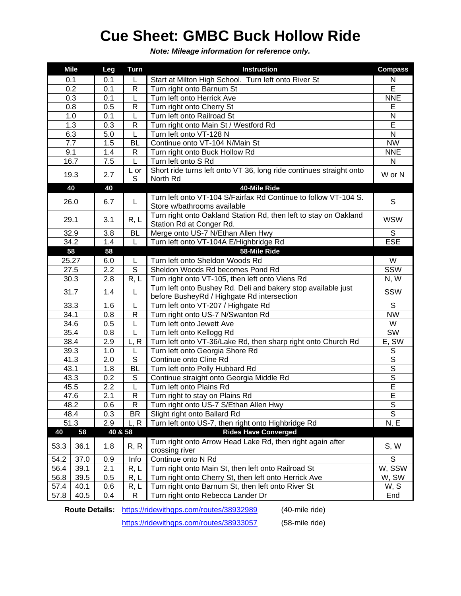## **Cue Sheet: GMBC Buck Hollow Ride**

*Note: Mileage information for reference only.*

|      | <b>Mile</b> | Leg              | <b>Turn</b>    | <b>Instruction</b>                                                           | <b>Compass</b>          |
|------|-------------|------------------|----------------|------------------------------------------------------------------------------|-------------------------|
|      | 0.1         | 0.1              |                | Start at Milton High School. Turn left onto River St                         | N                       |
| 0.2  |             | 0.1              | R              | Turn right onto Barnum St                                                    | Ē                       |
| 0.3  |             | 0.1              | L              | Turn left onto Herrick Ave                                                   | <b>NNE</b>              |
| 0.8  |             | 0.5              | R              | Turn right onto Cherry St                                                    | Е                       |
| 1.0  |             | 0.1              | L              | Turn left onto Railroad St                                                   | $\mathsf{N}$            |
| 1.3  |             | 0.3              | $\mathsf{R}$   | Turn right onto Main St / Westford Rd                                        | Ē                       |
| 6.3  |             | 5.0              | L              | Turn left onto VT-128 N                                                      | ${\sf N}$               |
| 7.7  |             | 1.5              | BL             | Continue onto VT-104 N/Main St                                               | <b>NW</b>               |
| 9.1  |             | 1.4              | $\mathsf{R}$   | Turn right onto Buck Hollow Rd                                               | <b>NNE</b>              |
| 16.7 |             | 7.5              | L              | Turn left onto S Rd                                                          | ${\sf N}$               |
| 19.3 |             |                  | L or           | Short ride turns left onto VT 36, long ride continues straight onto          |                         |
|      |             | 2.7              | S              | North Rd                                                                     | W or N                  |
|      | 40          | 40               |                | 40-Mile Ride                                                                 |                         |
|      | 26.0        | 6.7              |                | Turn left onto VT-104 S/Fairfax Rd Continue to follow VT-104 S.              |                         |
|      |             |                  | L              | Store w/bathrooms available                                                  | S                       |
|      | 29.1        | 3.1              | R, L           | Turn right onto Oakland Station Rd, then left to stay on Oakland             |                         |
|      |             |                  |                | Station Rd at Conger Rd.                                                     | <b>WSW</b>              |
| 32.9 |             | 3.8              | <b>BL</b>      | Merge onto US-7 N/Ethan Allen Hwy                                            | S                       |
| 34.2 |             | 1.4              | L              | Turn left onto VT-104A E/Highbridge Rd                                       | <b>ESE</b>              |
| 58   |             | 58               |                | 58-Mile Ride                                                                 |                         |
|      | 25.27       | 6.0              | L              | Turn left onto Sheldon Woods Rd                                              | W                       |
| 27.5 |             | $\overline{2.2}$ | $\overline{s}$ | Sheldon Woods Rd becomes Pond Rd                                             | SSW                     |
| 30.3 |             | 2.8              | R, L           | Turn right onto VT-105, then left onto Viens Rd                              | N, W                    |
|      |             | 1.4              | L              | Turn left onto Bushey Rd. Deli and bakery stop available just                | SSW                     |
| 31.7 |             |                  |                | before BusheyRd / Highgate Rd intersection                                   |                         |
|      | 33.3        | 1.6              | L              | Turn left onto VT-207 / Highgate Rd                                          | S                       |
| 34.1 |             | 0.8              | $\mathsf{R}$   | Turn right onto US-7 N/Swanton Rd                                            | <b>NW</b>               |
| 34.6 |             | 0.5              | L              | Turn left onto Jewett Ave                                                    | W                       |
| 35.4 |             | 0.8              | L              | Turn left onto Kellogg Rd                                                    | SW                      |
| 38.4 |             | 2.9              | L, R           | Turn left onto VT-36/Lake Rd, then sharp right onto Church Rd                | E, SW                   |
| 39.3 |             | 1.0              | L              | Turn left onto Georgia Shore Rd                                              | $\mathbb S$             |
| 41.3 |             | 2.0              | S              | Continue onto Cline Rd                                                       | $\overline{s}$          |
| 43.1 |             | 1.8              | <b>BL</b>      | Turn left onto Polly Hubbard Rd                                              | $\overline{s}$          |
| 43.3 |             | 0.2              | S              | Continue straight onto Georgia Middle Rd                                     | $\overline{\mathsf{s}}$ |
| 45.5 |             | 2.2              | L              | Turn left onto Plains Rd                                                     | Ē                       |
| 47.6 |             | $\overline{2.1}$ | $\mathsf{R}$   | Turn right to stay on Plains Rd                                              | $\overline{E}$          |
| 48.2 |             |                  | $\mathsf{R}$   | Turn right onto US-7 S/Ethan Allen Hwy                                       | S                       |
| 48.4 |             | 0.6              | <b>BR</b>      |                                                                              | $\overline{\mathsf{s}}$ |
| 51.3 |             | 0.3              |                | Slight right onto Ballard Rd                                                 |                         |
|      |             | 2.9              | L, R           | Turn left onto US-7, then right onto Highbridge Rd                           | N, E                    |
| 40   | 58          | 40 & 58          |                | <b>Rides Have Converged</b>                                                  |                         |
| 53.3 | 36.1        | 1.8              | R, R           | Turn right onto Arrow Head Lake Rd, then right again after<br>crossing river | S, W                    |
| 54.2 | 37.0        | 0.9              | Info           | Continue onto N Rd                                                           | $\mathsf S$             |
| 56.4 | 39.1        | 2.1              | R, L           | Turn right onto Main St, then left onto Railroad St                          | W, SSW                  |
| 56.8 | 39.5        | 0.5              | R, L           | Turn right onto Cherry St, then left onto Herrick Ave                        | W, SW                   |
| 57.4 | 40.1        | 0.6              | R, L           | Turn right onto Barnum St, then left onto River St                           | W, S                    |
| 57.8 | 40.5        | 0.4              | R              | Turn right onto Rebecca Lander Dr                                            | End                     |

**Route Details:** <https://ridewithgps.com/routes/38932989> (40-mile ride)

<https://ridewithgps.com/routes/38933057> (58-mile ride)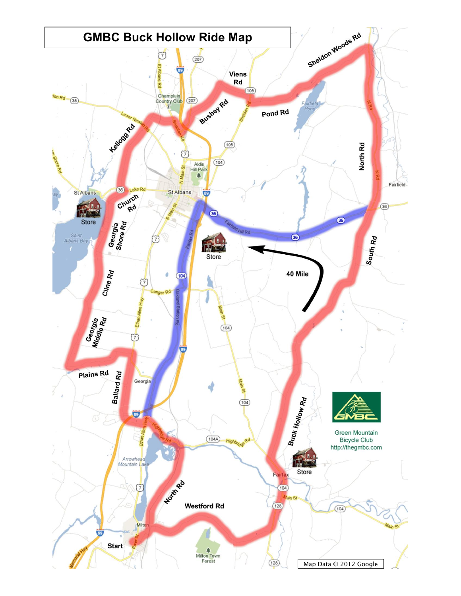